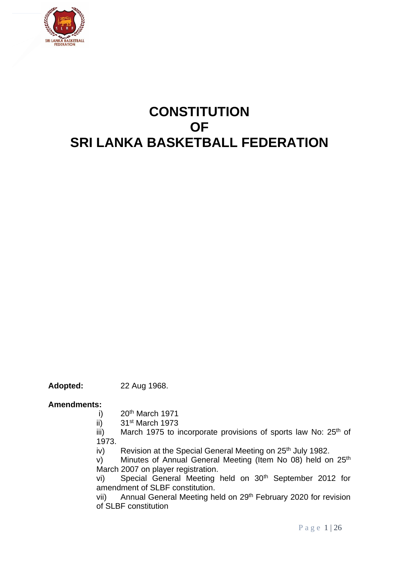

# **CONSTITUTION OF SRI LANKA BASKETBALL FEDERATION**

**Adopted:** 22 Aug 1968.

#### **Amendments:**

- i)  $20<sup>th</sup>$  March 1971
- ii) 31st March 1973
- iii) March 1975 to incorporate provisions of sports law No:  $25<sup>th</sup>$  of 1973.
- iv) Revision at the Special General Meeting on 25<sup>th</sup> July 1982.
- v) Minutes of Annual General Meeting (Item No 08) held on 25<sup>th</sup> March 2007 on player registration.
- vi) Special General Meeting held on 30<sup>th</sup> September 2012 for amendment of SLBF constitution.
- vii) Annual General Meeting held on 29<sup>th</sup> February 2020 for revision of SLBF constitution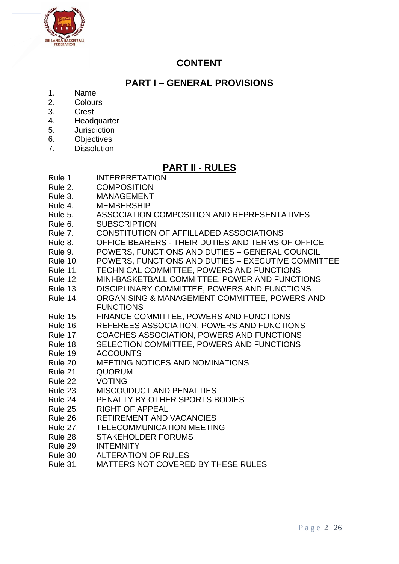

# **CONTENT**

# **PART I – GENERAL PROVISIONS**

- 1. Name
- 2. Colours
- 3. Crest
- 4. Headquarter
- 5. Jurisdiction
- 6. Objectives
- 7. Dissolution

# **PART II - RULES**

- Rule 1 INTERPRETATION
- Rule 2. COMPOSITION
- Rule 3. MANAGEMENT
- Rule 4. MEMBERSHIP
- Rule 5. ASSOCIATION COMPOSITION AND REPRESENTATIVES
- Rule 6. SUBSCRIPTION
- Rule 7. CONSTITUTION OF AFFILLADED ASSOCIATIONS
- Rule 8. OFFICE BEARERS THEIR DUTIES AND TERMS OF OFFICE
- Rule 9. POWERS, FUNCTIONS AND DUTIES GENERAL COUNCIL
- Rule 10. POWERS, FUNCTIONS AND DUTIES EXECUTIVE COMMITTEE
- Rule 11. TECHNICAL COMMITTEE, POWERS AND FUNCTIONS
- Rule 12. MINI-BASKETBALL COMMITTEE, POWER AND FUNCTIONS
- Rule 13. DISCIPLINARY COMMITTEE, POWERS AND FUNCTIONS
- Rule 14. ORGANISING & MANAGEMENT COMMITTEE, POWERS AND **FUNCTIONS**
- Rule 15. FINANCE COMMITTEE, POWERS AND FUNCTIONS
- Rule 16. REFEREES ASSOCIATION, POWERS AND FUNCTIONS
- Rule 17. COACHES ASSOCIATION, POWERS AND FUNCTIONS
- Rule 18. SELECTION COMMITTEE, POWERS AND FUNCTIONS
- Rule 19. ACCOUNTS
- Rule 20. MEETING NOTICES AND NOMINATIONS
- Rule 21. QUORUM
- Rule 22. VOTING
- Rule 23. MISCOUDUCT AND PENALTIES
- Rule 24. PENALTY BY OTHER SPORTS BODIES
- Rule 25. RIGHT OF APPEAL
- Rule 26. RETIREMENT AND VACANCIES
- Rule 27. TELECOMMUNICATION MEETING
- Rule 28. STAKEHOLDER FORUMS
- Rule 29. INTEMNITY
- Rule 30. ALTERATION OF RULES
- Rule 31. MATTERS NOT COVERED BY THESE RULES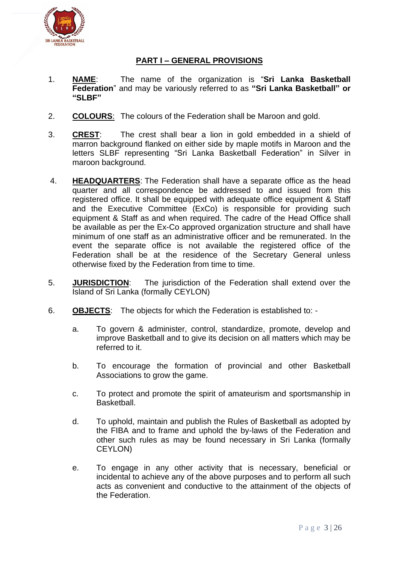

# **PART I – GENERAL PROVISIONS**

- 1. **NAME**: The name of the organization is "**Sri Lanka Basketball Federation**" and may be variously referred to as **"Sri Lanka Basketball" or "SLBF"**
- 2. **COLOURS**: The colours of the Federation shall be Maroon and gold.
- 3. **CREST**: The crest shall bear a lion in gold embedded in a shield of marron background flanked on either side by maple motifs in Maroon and the letters SLBF representing "Sri Lanka Basketball Federation" in Silver in maroon background.
- 4. **HEADQUARTERS**: The Federation shall have a separate office as the head quarter and all correspondence be addressed to and issued from this registered office. It shall be equipped with adequate office equipment & Staff and the Executive Committee (ExCo) is responsible for providing such equipment & Staff as and when required. The cadre of the Head Office shall be available as per the Ex-Co approved organization structure and shall have minimum of one staff as an administrative officer and be remunerated. In the event the separate office is not available the registered office of the Federation shall be at the residence of the Secretary General unless otherwise fixed by the Federation from time to time.
- 5. **JURISDICTION**: The jurisdiction of the Federation shall extend over the Island of Sri Lanka (formally CEYLON)
- 6. **OBJECTS**: The objects for which the Federation is established to:
	- a. To govern & administer, control, standardize, promote, develop and improve Basketball and to give its decision on all matters which may be referred to it.
	- b. To encourage the formation of provincial and other Basketball Associations to grow the game.
	- c. To protect and promote the spirit of amateurism and sportsmanship in **Basketball**
	- d. To uphold, maintain and publish the Rules of Basketball as adopted by the FIBA and to frame and uphold the by-laws of the Federation and other such rules as may be found necessary in Sri Lanka (formally CEYLON)
	- e. To engage in any other activity that is necessary, beneficial or incidental to achieve any of the above purposes and to perform all such acts as convenient and conductive to the attainment of the objects of the Federation.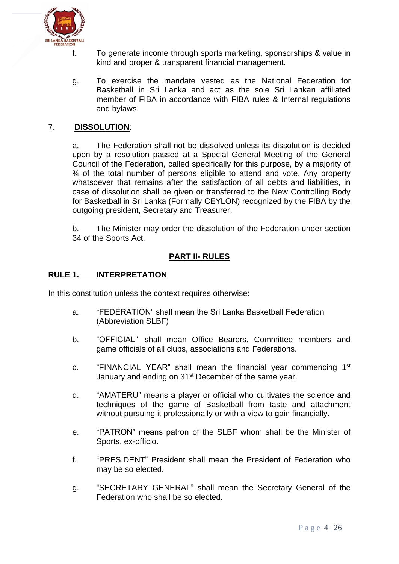

- f. To generate income through sports marketing, sponsorships & value in kind and proper & transparent financial management.
- g. To exercise the mandate vested as the National Federation for Basketball in Sri Lanka and act as the sole Sri Lankan affiliated member of FIBA in accordance with FIBA rules & Internal regulations and bylaws.

# 7. **DISSOLUTION**:

a. The Federation shall not be dissolved unless its dissolution is decided upon by a resolution passed at a Special General Meeting of the General Council of the Federation, called specifically for this purpose, by a majority of ¾ of the total number of persons eligible to attend and vote. Any property whatsoever that remains after the satisfaction of all debts and liabilities, in case of dissolution shall be given or transferred to the New Controlling Body for Basketball in Sri Lanka (Formally CEYLON) recognized by the FIBA by the outgoing president, Secretary and Treasurer.

b. The Minister may order the dissolution of the Federation under section 34 of the Sports Act.

# **PART II- RULES**

#### **RULE 1. INTERPRETATION**

In this constitution unless the context requires otherwise:

- a. "FEDERATION" shall mean the Sri Lanka Basketball Federation (Abbreviation SLBF)
- b. "OFFICIAL" shall mean Office Bearers, Committee members and game officials of all clubs, associations and Federations.
- c. "FINANCIAL YEAR" shall mean the financial year commencing 1<sup>st</sup> January and ending on 31<sup>st</sup> December of the same year.
- d. "AMATERU" means a player or official who cultivates the science and techniques of the game of Basketball from taste and attachment without pursuing it professionally or with a view to gain financially.
- e. "PATRON" means patron of the SLBF whom shall be the Minister of Sports, ex-officio.
- f. "PRESIDENT" President shall mean the President of Federation who may be so elected.
- g. "SECRETARY GENERAL" shall mean the Secretary General of the Federation who shall be so elected.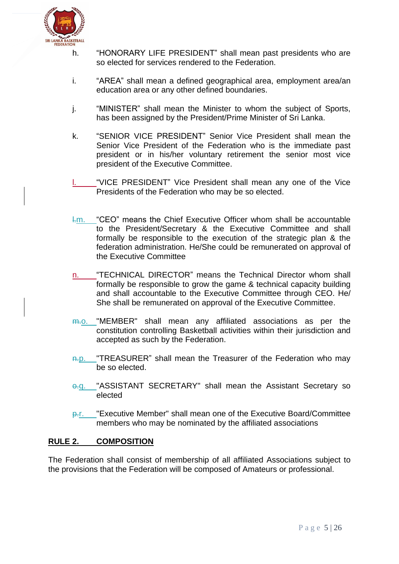

- h. "HONORARY LIFE PRESIDENT" shall mean past presidents who are so elected for services rendered to the Federation.
- i. "AREA" shall mean a defined geographical area, employment area/an education area or any other defined boundaries.
- j. "MINISTER" shall mean the Minister to whom the subject of Sports, has been assigned by the President/Prime Minister of Sri Lanka.
- k. "SENIOR VICE PRESIDENT" Senior Vice President shall mean the Senior Vice President of the Federation who is the immediate past president or in his/her voluntary retirement the senior most vice president of the Executive Committee.
- "VICE PRESIDENT" Vice President shall mean any one of the Vice Presidents of the Federation who may be so elected.
- $km.$  "CEO" means the Chief Executive Officer whom shall be accountable to the President/Secretary & the Executive Committee and shall formally be responsible to the execution of the strategic plan & the federation administration. He/She could be remunerated on approval of the Executive Committee
- n. "TECHNICAL DIRECTOR" means the Technical Director whom shall formally be responsible to grow the game & technical capacity building and shall accountable to the Executive Committee through CEO. He/ She shall be remunerated on approval of the Executive Committee.
- m.o. "MEMBER" shall mean any affiliated associations as per the constitution controlling Basketball activities within their jurisdiction and accepted as such by the Federation.
- n.p. "TREASURER" shall mean the Treasurer of the Federation who may be so elected.
- $\overline{q}$ . "ASSISTANT SECRETARY" shall mean the Assistant Secretary so elected
- p.r. "Executive Member" shall mean one of the Executive Board/Committee members who may be nominated by the affiliated associations

# **RULE 2. COMPOSITION**

The Federation shall consist of membership of all affiliated Associations subject to the provisions that the Federation will be composed of Amateurs or professional.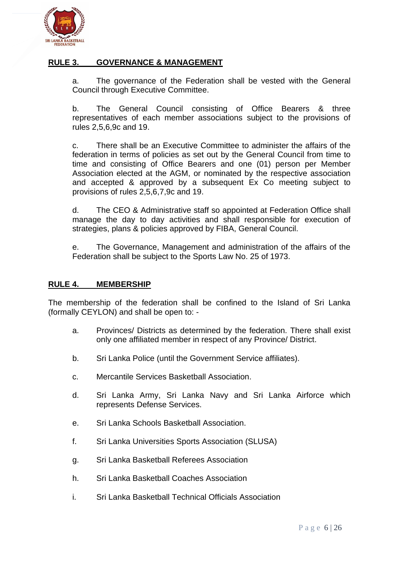

# **RULE 3. GOVERNANCE & MANAGEMENT**

a. The governance of the Federation shall be vested with the General Council through Executive Committee.

b. The General Council consisting of Office Bearers & three representatives of each member associations subject to the provisions of rules 2,5,6,9c and 19.

c. There shall be an Executive Committee to administer the affairs of the federation in terms of policies as set out by the General Council from time to time and consisting of Office Bearers and one (01) person per Member Association elected at the AGM, or nominated by the respective association and accepted & approved by a subsequent Ex Co meeting subject to provisions of rules 2,5,6,7,9c and 19.

d. The CEO & Administrative staff so appointed at Federation Office shall manage the day to day activities and shall responsible for execution of strategies, plans & policies approved by FIBA, General Council.

e. The Governance, Management and administration of the affairs of the Federation shall be subject to the Sports Law No. 25 of 1973.

#### **RULE 4. MEMBERSHIP**

The membership of the federation shall be confined to the Island of Sri Lanka (formally CEYLON) and shall be open to: -

- a. Provinces/ Districts as determined by the federation. There shall exist only one affiliated member in respect of any Province/ District.
- b. Sri Lanka Police (until the Government Service affiliates).
- c. Mercantile Services Basketball Association.
- d. Sri Lanka Army, Sri Lanka Navy and Sri Lanka Airforce which represents Defense Services.
- e. Sri Lanka Schools Basketball Association.
- f. Sri Lanka Universities Sports Association (SLUSA)
- g. Sri Lanka Basketball Referees Association
- h. Sri Lanka Basketball Coaches Association
- i. Sri Lanka Basketball Technical Officials Association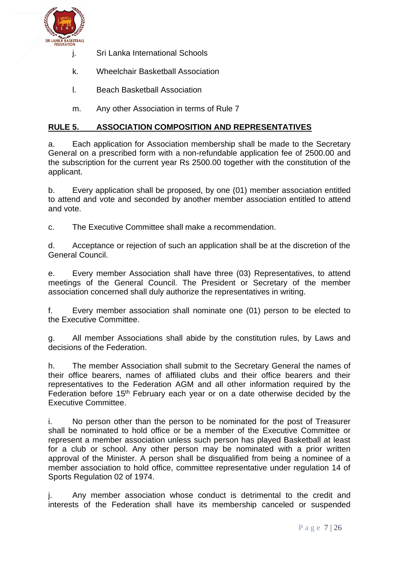

- j. Sri Lanka International Schools
- k. Wheelchair Basketball Association
- l. Beach Basketball Association
- m. Any other Association in terms of Rule 7

# **RULE 5. ASSOCIATION COMPOSITION AND REPRESENTATIVES**

a. Each application for Association membership shall be made to the Secretary General on a prescribed form with a non-refundable application fee of 2500.00 and the subscription for the current year Rs 2500.00 together with the constitution of the applicant.

b. Every application shall be proposed, by one (01) member association entitled to attend and vote and seconded by another member association entitled to attend and vote.

c. The Executive Committee shall make a recommendation.

d. Acceptance or rejection of such an application shall be at the discretion of the General Council.

e. Every member Association shall have three (03) Representatives, to attend meetings of the General Council. The President or Secretary of the member association concerned shall duly authorize the representatives in writing.

f. Every member association shall nominate one (01) person to be elected to the Executive Committee.

g. All member Associations shall abide by the constitution rules, by Laws and decisions of the Federation.

h. The member Association shall submit to the Secretary General the names of their office bearers, names of affiliated clubs and their office bearers and their representatives to the Federation AGM and all other information required by the Federation before 15<sup>th</sup> February each year or on a date otherwise decided by the Executive Committee.

i. No person other than the person to be nominated for the post of Treasurer shall be nominated to hold office or be a member of the Executive Committee or represent a member association unless such person has played Basketball at least for a club or school. Any other person may be nominated with a prior written approval of the Minister. A person shall be disqualified from being a nominee of a member association to hold office, committee representative under regulation 14 of Sports Regulation 02 of 1974.

Any member association whose conduct is detrimental to the credit and interests of the Federation shall have its membership canceled or suspended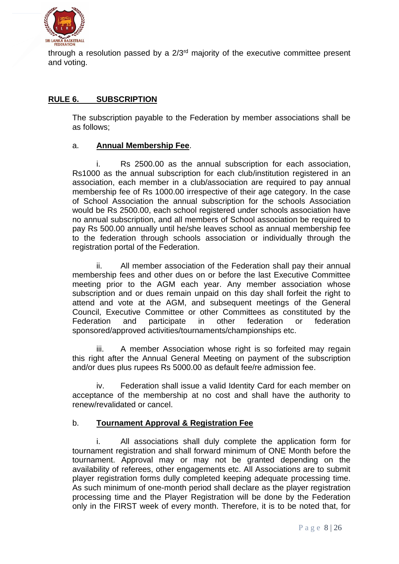

through a resolution passed by a  $2/3<sup>rd</sup>$  majority of the executive committee present and voting.

# **RULE 6. SUBSCRIPTION**

The subscription payable to the Federation by member associations shall be as follows;

# a. **Annual Membership Fee**.

i. Rs 2500.00 as the annual subscription for each association, Rs1000 as the annual subscription for each club/institution registered in an association, each member in a club/association are required to pay annual membership fee of Rs 1000.00 irrespective of their age category. In the case of School Association the annual subscription for the schools Association would be Rs 2500.00, each school registered under schools association have no annual subscription, and all members of School association be required to pay Rs 500.00 annually until he/she leaves school as annual membership fee to the federation through schools association or individually through the registration portal of the Federation.

ii. All member association of the Federation shall pay their annual membership fees and other dues on or before the last Executive Committee meeting prior to the AGM each year. Any member association whose subscription and or dues remain unpaid on this day shall forfeit the right to attend and vote at the AGM, and subsequent meetings of the General Council, Executive Committee or other Committees as constituted by the Federation and participate in other federation or federation sponsored/approved activities/tournaments/championships etc.

iii. A member Association whose right is so forfeited may regain this right after the Annual General Meeting on payment of the subscription and/or dues plus rupees Rs 5000.00 as default fee/re admission fee.

iv. Federation shall issue a valid Identity Card for each member on acceptance of the membership at no cost and shall have the authority to renew/revalidated or cancel.

# b. **Tournament Approval & Registration Fee**

i. All associations shall duly complete the application form for tournament registration and shall forward minimum of ONE Month before the tournament. Approval may or may not be granted depending on the availability of referees, other engagements etc. All Associations are to submit player registration forms dully completed keeping adequate processing time. As such minimum of one-month period shall declare as the player registration processing time and the Player Registration will be done by the Federation only in the FIRST week of every month. Therefore, it is to be noted that, for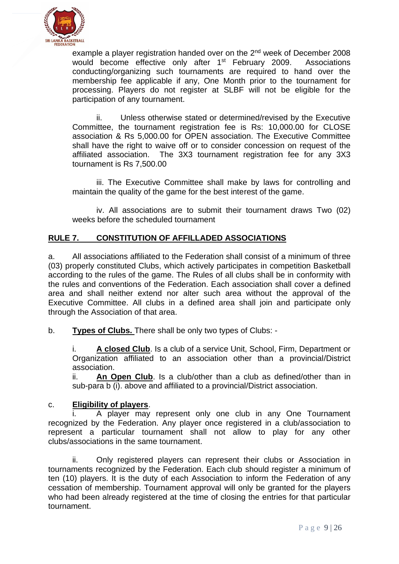

example a player registration handed over on the 2<sup>nd</sup> week of December 2008 would become effective only after 1<sup>st</sup> February 2009. Associations conducting/organizing such tournaments are required to hand over the membership fee applicable if any, One Month prior to the tournament for processing. Players do not register at SLBF will not be eligible for the participation of any tournament.

ii. Unless otherwise stated or determined/revised by the Executive Committee, the tournament registration fee is Rs: 10,000.00 for CLOSE association & Rs 5,000.00 for OPEN association. The Executive Committee shall have the right to waive off or to consider concession on request of the affiliated association. The 3X3 tournament registration fee for any 3X3 tournament is Rs 7,500.00

iii. The Executive Committee shall make by laws for controlling and maintain the quality of the game for the best interest of the game.

iv. All associations are to submit their tournament draws Two (02) weeks before the scheduled tournament

# **RULE 7. CONSTITUTION OF AFFILLADED ASSOCIATIONS**

a. All associations affiliated to the Federation shall consist of a minimum of three (03) properly constituted Clubs, which actively participates in competition Basketball according to the rules of the game. The Rules of all clubs shall be in conformity with the rules and conventions of the Federation. Each association shall cover a defined area and shall neither extend nor alter such area without the approval of the Executive Committee. All clubs in a defined area shall join and participate only through the Association of that area.

b. **Types of Clubs.** There shall be only two types of Clubs: -

i. **A closed Club**. Is a club of a service Unit, School, Firm, Department or Organization affiliated to an association other than a provincial/District association.

ii. **An Open Club**. Is a club/other than a club as defined/other than in sub-para b (i). above and affiliated to a provincial/District association.

# c. **Eligibility of players**.

A player may represent only one club in any One Tournament recognized by the Federation. Any player once registered in a club/association to represent a particular tournament shall not allow to play for any other clubs/associations in the same tournament.

ii. Only registered players can represent their clubs or Association in tournaments recognized by the Federation. Each club should register a minimum of ten (10) players. It is the duty of each Association to inform the Federation of any cessation of membership. Tournament approval will only be granted for the players who had been already registered at the time of closing the entries for that particular tournament.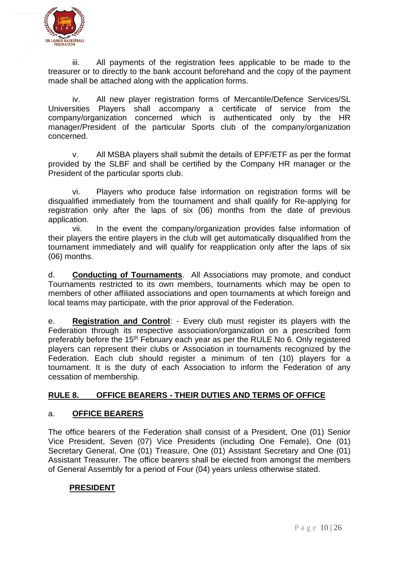

iii. All payments of the registration fees applicable to be made to the treasurer or to directly to the bank account beforehand and the copy of the payment made shall be attached along with the application forms.

iv. All new player registration forms of Mercantile/Defence Services/SL Universities Players shall accompany a certificate of service from the company/organization concerned which is authenticated only by the HR manager/President of the particular Sports club of the company/organization concerned.

v. All MSBA players shall submit the details of EPF/ETF as per the format provided by the SLBF and shall be certified by the Company HR manager or the President of the particular sports club.

vi. Players who produce false information on registration forms will be disqualified immediately from the tournament and shall qualify for Re-applying for registration only after the laps of six (06) months from the date of previous application.

vii. In the event the company/organization provides false information of their players the entire players in the club will get automatically disqualified from the tournament immediately and will qualify for reapplication only after the laps of six (06) months.

d. **Conducting of Tournaments**. All Associations may promote, and conduct Tournaments restricted to its own members, tournaments which may be open to members of other affiliated associations and open tournaments at which foreign and local teams may participate, with the prior approval of the Federation.

e. **Registration and Control**: - Every club must register its players with the Federation through its respective association/organization on a prescribed form preferably before the 15<sup>th</sup> February each year as per the RULE No 6. Only registered players can represent their clubs or Association in tournaments recognized by the Federation. Each club should register a minimum of ten (10) players for a tournament. It is the duty of each Association to inform the Federation of any cessation of membership.

# **RULE 8. OFFICE BEARERS - THEIR DUTIES AND TERMS OF OFFICE**

# a. **OFFICE BEARERS**

The office bearers of the Federation shall consist of a President, One (01) Senior Vice President, Seven (07) Vice Presidents (including One Female), One (01) Secretary General, One (01) Treasure, One (01) Assistant Secretary and One (01) Assistant Treasurer. The office bearers shall be elected from amongst the members of General Assembly for a period of Four (04) years unless otherwise stated.

# **PRESIDENT**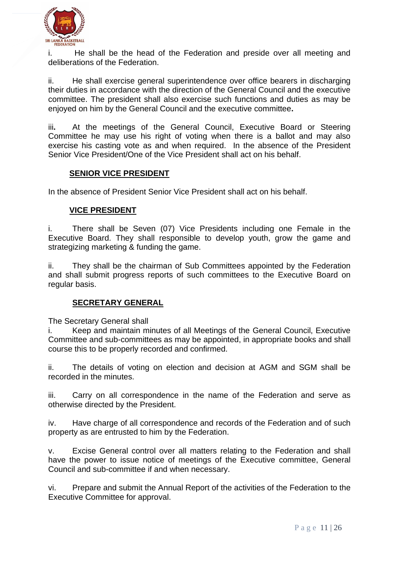

i. He shall be the head of the Federation and preside over all meeting and deliberations of the Federation.

ii. He shall exercise general superintendence over office bearers in discharging their duties in accordance with the direction of the General Council and the executive committee. The president shall also exercise such functions and duties as may be enjoyed on him by the General Council and the executive committee**.** 

iii**.** At the meetings of the General Council, Executive Board or Steering Committee he may use his right of voting when there is a ballot and may also exercise his casting vote as and when required. In the absence of the President Senior Vice President/One of the Vice President shall act on his behalf.

# **SENIOR VICE PRESIDENT**

In the absence of President Senior Vice President shall act on his behalf.

#### **VICE PRESIDENT**

i. There shall be Seven (07) Vice Presidents including one Female in the Executive Board. They shall responsible to develop youth, grow the game and strategizing marketing & funding the game.

ii. They shall be the chairman of Sub Committees appointed by the Federation and shall submit progress reports of such committees to the Executive Board on regular basis.

# **SECRETARY GENERAL**

The Secretary General shall

i. Keep and maintain minutes of all Meetings of the General Council, Executive Committee and sub-committees as may be appointed, in appropriate books and shall course this to be properly recorded and confirmed.

ii. The details of voting on election and decision at AGM and SGM shall be recorded in the minutes.

iii. Carry on all correspondence in the name of the Federation and serve as otherwise directed by the President.

iv. Have charge of all correspondence and records of the Federation and of such property as are entrusted to him by the Federation.

v. Excise General control over all matters relating to the Federation and shall have the power to issue notice of meetings of the Executive committee, General Council and sub-committee if and when necessary.

vi. Prepare and submit the Annual Report of the activities of the Federation to the Executive Committee for approval.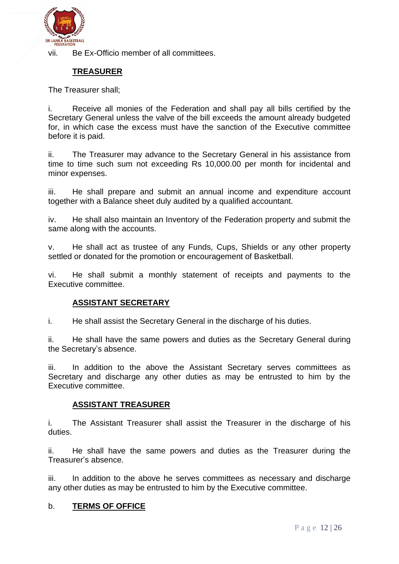

vii. Be Ex-Officio member of all committees.

# **TREASURER**

The Treasurer shall;

i. Receive all monies of the Federation and shall pay all bills certified by the Secretary General unless the valve of the bill exceeds the amount already budgeted for, in which case the excess must have the sanction of the Executive committee before it is paid.

ii. The Treasurer may advance to the Secretary General in his assistance from time to time such sum not exceeding Rs 10,000.00 per month for incidental and minor expenses.

iii. He shall prepare and submit an annual income and expenditure account together with a Balance sheet duly audited by a qualified accountant.

iv. He shall also maintain an Inventory of the Federation property and submit the same along with the accounts.

v. He shall act as trustee of any Funds, Cups, Shields or any other property settled or donated for the promotion or encouragement of Basketball.

vi. He shall submit a monthly statement of receipts and payments to the Executive committee.

# **ASSISTANT SECRETARY**

i. He shall assist the Secretary General in the discharge of his duties.

ii. He shall have the same powers and duties as the Secretary General during the Secretary's absence.

iii. In addition to the above the Assistant Secretary serves committees as Secretary and discharge any other duties as may be entrusted to him by the Executive committee.

#### **ASSISTANT TREASURER**

i. The Assistant Treasurer shall assist the Treasurer in the discharge of his duties.

ii. He shall have the same powers and duties as the Treasurer during the Treasurer's absence.

iii. In addition to the above he serves committees as necessary and discharge any other duties as may be entrusted to him by the Executive committee.

#### b. **TERMS OF OFFICE**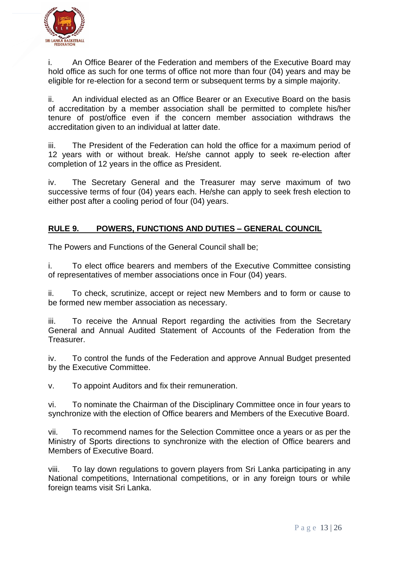

i. An Office Bearer of the Federation and members of the Executive Board may hold office as such for one terms of office not more than four (04) years and may be eligible for re-election for a second term or subsequent terms by a simple majority.

ii. An individual elected as an Office Bearer or an Executive Board on the basis of accreditation by a member association shall be permitted to complete his/her tenure of post/office even if the concern member association withdraws the accreditation given to an individual at latter date.

iii. The President of the Federation can hold the office for a maximum period of 12 years with or without break. He/she cannot apply to seek re-election after completion of 12 years in the office as President.

iv. The Secretary General and the Treasurer may serve maximum of two successive terms of four (04) years each. He/she can apply to seek fresh election to either post after a cooling period of four (04) years.

# **RULE 9. POWERS, FUNCTIONS AND DUTIES – GENERAL COUNCIL**

The Powers and Functions of the General Council shall be;

i. To elect office bearers and members of the Executive Committee consisting of representatives of member associations once in Four (04) years.

ii. To check, scrutinize, accept or reject new Members and to form or cause to be formed new member association as necessary.

iii. To receive the Annual Report regarding the activities from the Secretary General and Annual Audited Statement of Accounts of the Federation from the Treasurer.

iv. To control the funds of the Federation and approve Annual Budget presented by the Executive Committee.

v. To appoint Auditors and fix their remuneration.

vi. To nominate the Chairman of the Disciplinary Committee once in four years to synchronize with the election of Office bearers and Members of the Executive Board.

vii. To recommend names for the Selection Committee once a years or as per the Ministry of Sports directions to synchronize with the election of Office bearers and Members of Executive Board.

viii. To lay down regulations to govern players from Sri Lanka participating in any National competitions, International competitions, or in any foreign tours or while foreign teams visit Sri Lanka.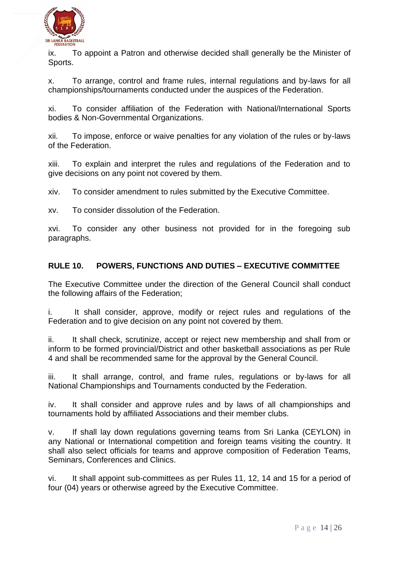

ix. To appoint a Patron and otherwise decided shall generally be the Minister of Sports.

x. To arrange, control and frame rules, internal regulations and by-laws for all championships/tournaments conducted under the auspices of the Federation.

xi. To consider affiliation of the Federation with National/International Sports bodies & Non-Governmental Organizations.

xii. To impose, enforce or waive penalties for any violation of the rules or by-laws of the Federation.

xiii. To explain and interpret the rules and regulations of the Federation and to give decisions on any point not covered by them.

xiv. To consider amendment to rules submitted by the Executive Committee.

xv. To consider dissolution of the Federation.

xvi. To consider any other business not provided for in the foregoing sub paragraphs.

# **RULE 10. POWERS, FUNCTIONS AND DUTIES – EXECUTIVE COMMITTEE**

The Executive Committee under the direction of the General Council shall conduct the following affairs of the Federation;

i. It shall consider, approve, modify or reject rules and regulations of the Federation and to give decision on any point not covered by them.

ii. It shall check, scrutinize, accept or reject new membership and shall from or inform to be formed provincial/District and other basketball associations as per Rule 4 and shall be recommended same for the approval by the General Council.

iii. It shall arrange, control, and frame rules, regulations or by-laws for all National Championships and Tournaments conducted by the Federation.

iv. It shall consider and approve rules and by laws of all championships and tournaments hold by affiliated Associations and their member clubs.

v. If shall lay down regulations governing teams from Sri Lanka (CEYLON) in any National or International competition and foreign teams visiting the country. It shall also select officials for teams and approve composition of Federation Teams, Seminars, Conferences and Clinics.

vi. It shall appoint sub-committees as per Rules 11, 12, 14 and 15 for a period of four (04) years or otherwise agreed by the Executive Committee.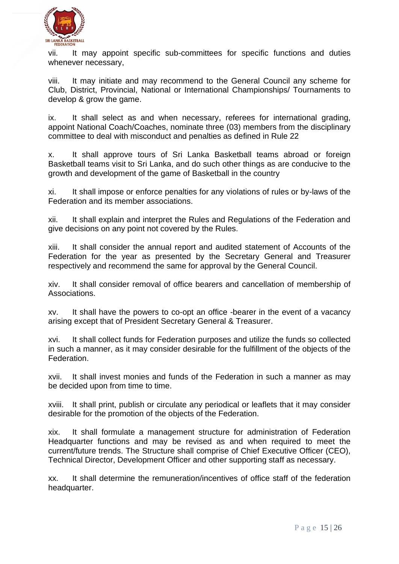

vii. It may appoint specific sub-committees for specific functions and duties whenever necessary,

viii. It may initiate and may recommend to the General Council any scheme for Club, District, Provincial, National or International Championships/ Tournaments to develop & grow the game.

ix. It shall select as and when necessary, referees for international grading, appoint National Coach/Coaches, nominate three (03) members from the disciplinary committee to deal with misconduct and penalties as defined in Rule 22

x. It shall approve tours of Sri Lanka Basketball teams abroad or foreign Basketball teams visit to Sri Lanka, and do such other things as are conducive to the growth and development of the game of Basketball in the country

xi. It shall impose or enforce penalties for any violations of rules or by-laws of the Federation and its member associations.

xii. It shall explain and interpret the Rules and Regulations of the Federation and give decisions on any point not covered by the Rules.

xiii. It shall consider the annual report and audited statement of Accounts of the Federation for the year as presented by the Secretary General and Treasurer respectively and recommend the same for approval by the General Council.

xiv. It shall consider removal of office bearers and cancellation of membership of Associations.

xv. It shall have the powers to co-opt an office -bearer in the event of a vacancy arising except that of President Secretary General & Treasurer.

xvi. It shall collect funds for Federation purposes and utilize the funds so collected in such a manner, as it may consider desirable for the fulfillment of the objects of the Federation.

xvii. It shall invest monies and funds of the Federation in such a manner as may be decided upon from time to time.

xviii. It shall print, publish or circulate any periodical or leaflets that it may consider desirable for the promotion of the objects of the Federation.

xix. It shall formulate a management structure for administration of Federation Headquarter functions and may be revised as and when required to meet the current/future trends. The Structure shall comprise of Chief Executive Officer (CEO), Technical Director, Development Officer and other supporting staff as necessary.

xx. It shall determine the remuneration/incentives of office staff of the federation headquarter.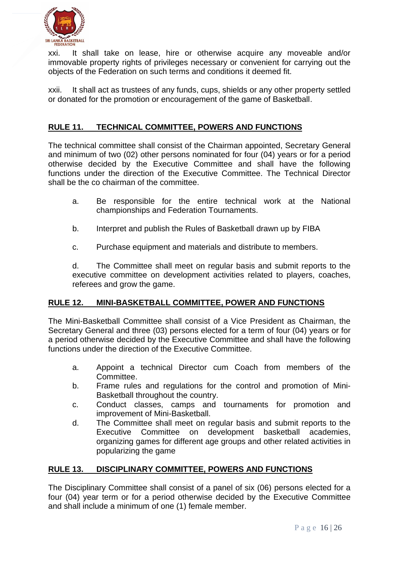

xxi. It shall take on lease, hire or otherwise acquire any moveable and/or immovable property rights of privileges necessary or convenient for carrying out the objects of the Federation on such terms and conditions it deemed fit.

xxii. It shall act as trustees of any funds, cups, shields or any other property settled or donated for the promotion or encouragement of the game of Basketball.

# **RULE 11. TECHNICAL COMMITTEE, POWERS AND FUNCTIONS**

The technical committee shall consist of the Chairman appointed, Secretary General and minimum of two (02) other persons nominated for four (04) years or for a period otherwise decided by the Executive Committee and shall have the following functions under the direction of the Executive Committee. The Technical Director shall be the co chairman of the committee.

- a. Be responsible for the entire technical work at the National championships and Federation Tournaments.
- b. Interpret and publish the Rules of Basketball drawn up by FIBA
- c. Purchase equipment and materials and distribute to members.

d. The Committee shall meet on regular basis and submit reports to the executive committee on development activities related to players, coaches, referees and grow the game.

# **RULE 12. MINI-BASKETBALL COMMITTEE, POWER AND FUNCTIONS**

The Mini-Basketball Committee shall consist of a Vice President as Chairman, the Secretary General and three (03) persons elected for a term of four (04) years or for a period otherwise decided by the Executive Committee and shall have the following functions under the direction of the Executive Committee.

- a. Appoint a technical Director cum Coach from members of the Committee.
- b. Frame rules and regulations for the control and promotion of Mini-Basketball throughout the country.
- c. Conduct classes, camps and tournaments for promotion and improvement of Mini-Basketball.
- d. The Committee shall meet on regular basis and submit reports to the Executive Committee on development basketball academies, organizing games for different age groups and other related activities in popularizing the game

# **RULE 13. DISCIPLINARY COMMITTEE, POWERS AND FUNCTIONS**

The Disciplinary Committee shall consist of a panel of six (06) persons elected for a four (04) year term or for a period otherwise decided by the Executive Committee and shall include a minimum of one (1) female member.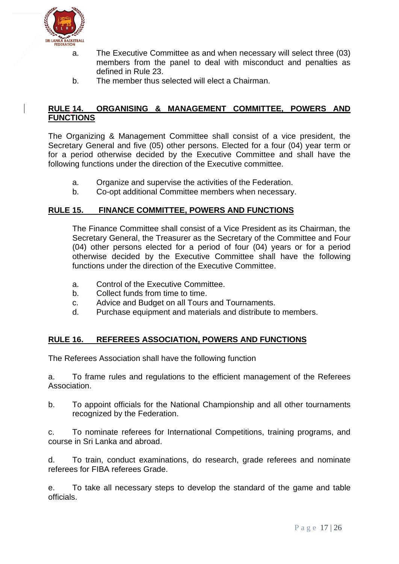

- a. The Executive Committee as and when necessary will select three (03) members from the panel to deal with misconduct and penalties as defined in Rule 23.
- b. The member thus selected will elect a Chairman.

#### **RULE 14. ORGANISING & MANAGEMENT COMMITTEE, POWERS AND FUNCTIONS**

The Organizing & Management Committee shall consist of a vice president, the Secretary General and five (05) other persons. Elected for a four (04) year term or for a period otherwise decided by the Executive Committee and shall have the following functions under the direction of the Executive committee.

- a. Organize and supervise the activities of the Federation.
- b. Co-opt additional Committee members when necessary.

#### **RULE 15. FINANCE COMMITTEE, POWERS AND FUNCTIONS**

The Finance Committee shall consist of a Vice President as its Chairman, the Secretary General, the Treasurer as the Secretary of the Committee and Four (04) other persons elected for a period of four (04) years or for a period otherwise decided by the Executive Committee shall have the following functions under the direction of the Executive Committee.

- a. Control of the Executive Committee.
- b. Collect funds from time to time.
- c. Advice and Budget on all Tours and Tournaments.
- d. Purchase equipment and materials and distribute to members.

# **RULE 16. REFEREES ASSOCIATION, POWERS AND FUNCTIONS**

The Referees Association shall have the following function

a. To frame rules and regulations to the efficient management of the Referees Association.

b. To appoint officials for the National Championship and all other tournaments recognized by the Federation.

c. To nominate referees for International Competitions, training programs, and course in Sri Lanka and abroad.

d. To train, conduct examinations, do research, grade referees and nominate referees for FIBA referees Grade.

e. To take all necessary steps to develop the standard of the game and table officials.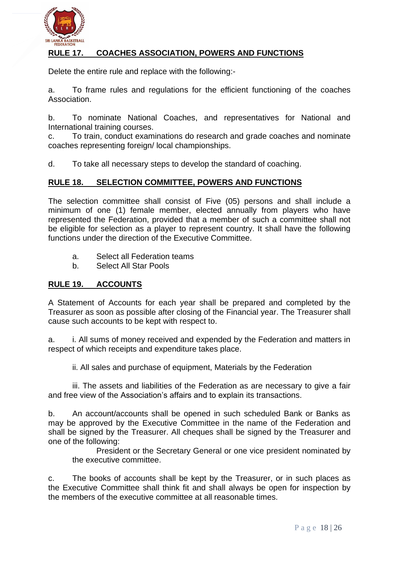

# **RULE 17. COACHES ASSOCIATION, POWERS AND FUNCTIONS**

Delete the entire rule and replace with the following:-

a. To frame rules and regulations for the efficient functioning of the coaches Association.

b. To nominate National Coaches, and representatives for National and International training courses.

c. To train, conduct examinations do research and grade coaches and nominate coaches representing foreign/ local championships.

d. To take all necessary steps to develop the standard of coaching.

#### **RULE 18. SELECTION COMMITTEE, POWERS AND FUNCTIONS**

The selection committee shall consist of Five (05) persons and shall include a minimum of one (1) female member, elected annually from players who have represented the Federation, provided that a member of such a committee shall not be eligible for selection as a player to represent country. It shall have the following functions under the direction of the Executive Committee.

- a. Select all Federation teams
- b. Select All Star Pools

#### **RULE 19. ACCOUNTS**

A Statement of Accounts for each year shall be prepared and completed by the Treasurer as soon as possible after closing of the Financial year. The Treasurer shall cause such accounts to be kept with respect to.

a. i. All sums of money received and expended by the Federation and matters in respect of which receipts and expenditure takes place.

ii. All sales and purchase of equipment, Materials by the Federation

iii. The assets and liabilities of the Federation as are necessary to give a fair and free view of the Association's affairs and to explain its transactions.

b. An account/accounts shall be opened in such scheduled Bank or Banks as may be approved by the Executive Committee in the name of the Federation and shall be signed by the Treasurer. All cheques shall be signed by the Treasurer and one of the following:

President or the Secretary General or one vice president nominated by the executive committee.

c. The books of accounts shall be kept by the Treasurer, or in such places as the Executive Committee shall think fit and shall always be open for inspection by the members of the executive committee at all reasonable times.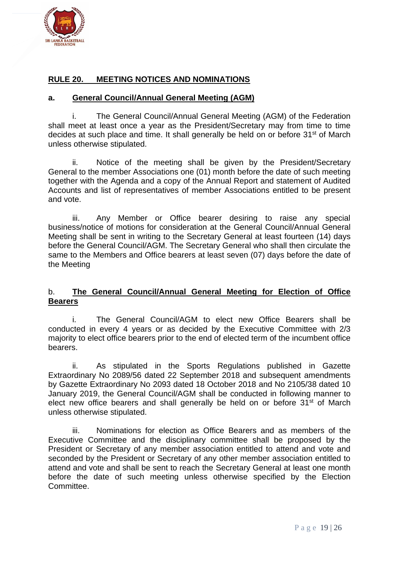

# **RULE 20. MEETING NOTICES AND NOMINATIONS**

#### **a. General Council/Annual General Meeting (AGM)**

i. The General Council/Annual General Meeting (AGM) of the Federation shall meet at least once a year as the President/Secretary may from time to time decides at such place and time. It shall generally be held on or before 31<sup>st</sup> of March unless otherwise stipulated.

ii. Notice of the meeting shall be given by the President/Secretary General to the member Associations one (01) month before the date of such meeting together with the Agenda and a copy of the Annual Report and statement of Audited Accounts and list of representatives of member Associations entitled to be present and vote.

iii. Any Member or Office bearer desiring to raise any special business/notice of motions for consideration at the General Council/Annual General Meeting shall be sent in writing to the Secretary General at least fourteen (14) days before the General Council/AGM. The Secretary General who shall then circulate the same to the Members and Office bearers at least seven (07) days before the date of the Meeting

#### b. **The General Council/Annual General Meeting for Election of Office Bearers**

i. The General Council/AGM to elect new Office Bearers shall be conducted in every 4 years or as decided by the Executive Committee with 2/3 majority to elect office bearers prior to the end of elected term of the incumbent office bearers.

ii. As stipulated in the Sports Regulations published in Gazette Extraordinary No 2089/56 dated 22 September 2018 and subsequent amendments by Gazette Extraordinary No 2093 dated 18 October 2018 and No 2105/38 dated 10 January 2019, the General Council/AGM shall be conducted in following manner to elect new office bearers and shall generally be held on or before 31<sup>st</sup> of March unless otherwise stipulated.

iii. Nominations for election as Office Bearers and as members of the Executive Committee and the disciplinary committee shall be proposed by the President or Secretary of any member association entitled to attend and vote and seconded by the President or Secretary of any other member association entitled to attend and vote and shall be sent to reach the Secretary General at least one month before the date of such meeting unless otherwise specified by the Election Committee.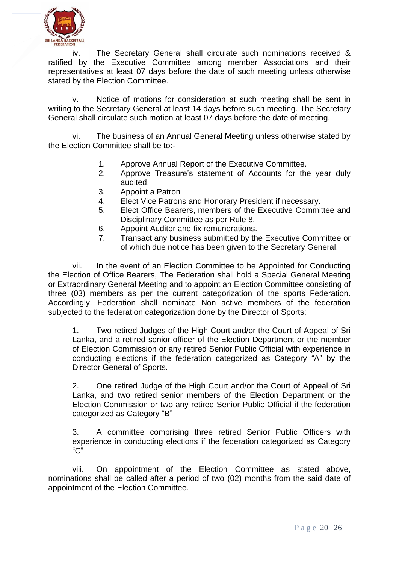

iv. The Secretary General shall circulate such nominations received & ratified by the Executive Committee among member Associations and their representatives at least 07 days before the date of such meeting unless otherwise stated by the Election Committee.

v. Notice of motions for consideration at such meeting shall be sent in writing to the Secretary General at least 14 days before such meeting. The Secretary General shall circulate such motion at least 07 days before the date of meeting.

vi. The business of an Annual General Meeting unless otherwise stated by the Election Committee shall be to:-

- 1. Approve Annual Report of the Executive Committee.
- 2. Approve Treasure's statement of Accounts for the year duly audited.
- 3. Appoint a Patron
- 4. Elect Vice Patrons and Honorary President if necessary.
- 5. Elect Office Bearers, members of the Executive Committee and Disciplinary Committee as per Rule 8.
- 6. Appoint Auditor and fix remunerations.
- 7. Transact any business submitted by the Executive Committee or of which due notice has been given to the Secretary General.

vii. In the event of an Election Committee to be Appointed for Conducting the Election of Office Bearers, The Federation shall hold a Special General Meeting or Extraordinary General Meeting and to appoint an Election Committee consisting of three (03) members as per the current categorization of the sports Federation. Accordingly, Federation shall nominate Non active members of the federation subjected to the federation categorization done by the Director of Sports;

1. Two retired Judges of the High Court and/or the Court of Appeal of Sri Lanka, and a retired senior officer of the Election Department or the member of Election Commission or any retired Senior Public Official with experience in conducting elections if the federation categorized as Category "A" by the Director General of Sports.

2. One retired Judge of the High Court and/or the Court of Appeal of Sri Lanka, and two retired senior members of the Election Department or the Election Commission or two any retired Senior Public Official if the federation categorized as Category "B"

3. A committee comprising three retired Senior Public Officers with experience in conducting elections if the federation categorized as Category "C"

viii. On appointment of the Election Committee as stated above, nominations shall be called after a period of two (02) months from the said date of appointment of the Election Committee.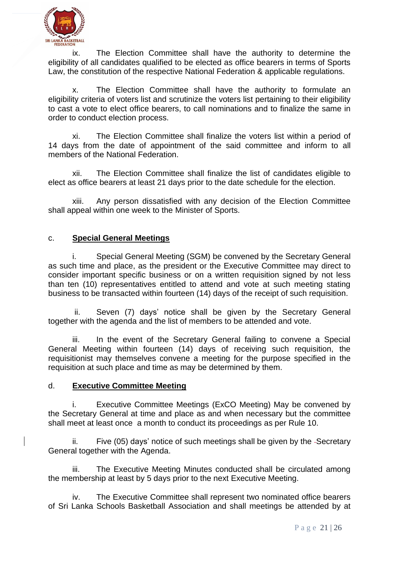

ix. The Election Committee shall have the authority to determine the eligibility of all candidates qualified to be elected as office bearers in terms of Sports Law, the constitution of the respective National Federation & applicable regulations.

x. The Election Committee shall have the authority to formulate an eligibility criteria of voters list and scrutinize the voters list pertaining to their eligibility to cast a vote to elect office bearers, to call nominations and to finalize the same in order to conduct election process.

xi. The Election Committee shall finalize the voters list within a period of 14 days from the date of appointment of the said committee and inform to all members of the National Federation.

xii. The Election Committee shall finalize the list of candidates eligible to elect as office bearers at least 21 days prior to the date schedule for the election.

xiii. Any person dissatisfied with any decision of the Election Committee shall appeal within one week to the Minister of Sports.

# c. **Special General Meetings**

i. Special General Meeting (SGM) be convened by the Secretary General as such time and place, as the president or the Executive Committee may direct to consider important specific business or on a written requisition signed by not less than ten (10) representatives entitled to attend and vote at such meeting stating business to be transacted within fourteen (14) days of the receipt of such requisition.

ii. Seven (7) days' notice shall be given by the Secretary General together with the agenda and the list of members to be attended and vote.

iii. In the event of the Secretary General failing to convene a Special General Meeting within fourteen (14) days of receiving such requisition, the requisitionist may themselves convene a meeting for the purpose specified in the requisition at such place and time as may be determined by them.

# d. **Executive Committee Meeting**

Executive Committee Meetings (ExCO Meeting) May be convened by the Secretary General at time and place as and when necessary but the committee shall meet at least once a month to conduct its proceedings as per Rule 10.

ii. Five (05) days' notice of such meetings shall be given by the -Secretary General together with the Agenda.

iii. The Executive Meeting Minutes conducted shall be circulated among the membership at least by 5 days prior to the next Executive Meeting.

iv. The Executive Committee shall represent two nominated office bearers of Sri Lanka Schools Basketball Association and shall meetings be attended by at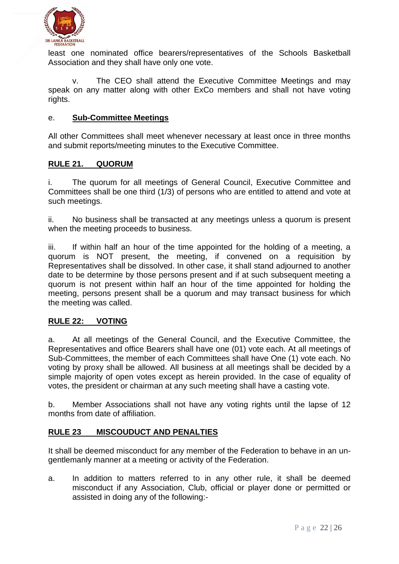

least one nominated office bearers/representatives of the Schools Basketball Association and they shall have only one vote.

v. The CEO shall attend the Executive Committee Meetings and may speak on any matter along with other ExCo members and shall not have voting rights.

#### e. **Sub-Committee Meetings**

All other Committees shall meet whenever necessary at least once in three months and submit reports/meeting minutes to the Executive Committee.

# **RULE 21. QUORUM**

i. The quorum for all meetings of General Council, Executive Committee and Committees shall be one third (1/3) of persons who are entitled to attend and vote at such meetings.

ii. No business shall be transacted at any meetings unless a quorum is present when the meeting proceeds to business.

iii. If within half an hour of the time appointed for the holding of a meeting, a quorum is NOT present, the meeting, if convened on a requisition by Representatives shall be dissolved. In other case, it shall stand adjourned to another date to be determine by those persons present and if at such subsequent meeting a quorum is not present within half an hour of the time appointed for holding the meeting, persons present shall be a quorum and may transact business for which the meeting was called.

# **RULE 22: VOTING**

a. At all meetings of the General Council, and the Executive Committee, the Representatives and office Bearers shall have one (01) vote each. At all meetings of Sub-Committees, the member of each Committees shall have One (1) vote each. No voting by proxy shall be allowed. All business at all meetings shall be decided by a simple majority of open votes except as herein provided. In the case of equality of votes, the president or chairman at any such meeting shall have a casting vote.

b. Member Associations shall not have any voting rights until the lapse of 12 months from date of affiliation.

#### **RULE 23 MISCOUDUCT AND PENALTIES**

It shall be deemed misconduct for any member of the Federation to behave in an ungentlemanly manner at a meeting or activity of the Federation.

a. In addition to matters referred to in any other rule, it shall be deemed misconduct if any Association, Club, official or player done or permitted or assisted in doing any of the following:-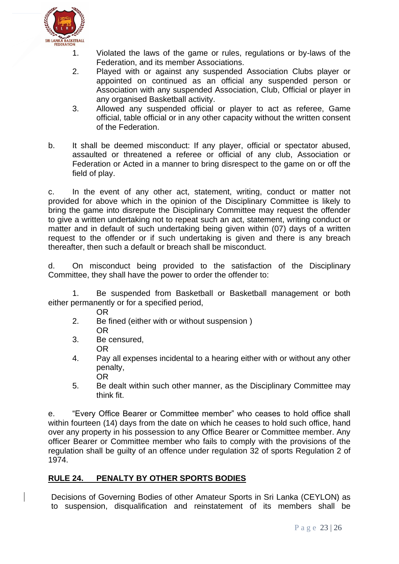

- 1. Violated the laws of the game or rules, regulations or by-laws of the Federation, and its member Associations.
- 2. Played with or against any suspended Association Clubs player or appointed on continued as an official any suspended person or Association with any suspended Association, Club, Official or player in any organised Basketball activity.
- 3. Allowed any suspended official or player to act as referee, Game official, table official or in any other capacity without the written consent of the Federation.
- b. It shall be deemed misconduct: If any player, official or spectator abused, assaulted or threatened a referee or official of any club, Association or Federation or Acted in a manner to bring disrespect to the game on or off the field of play.

c. In the event of any other act, statement, writing, conduct or matter not provided for above which in the opinion of the Disciplinary Committee is likely to bring the game into disrepute the Disciplinary Committee may request the offender to give a written undertaking not to repeat such an act, statement, writing conduct or matter and in default of such undertaking being given within (07) days of a written request to the offender or if such undertaking is given and there is any breach thereafter, then such a default or breach shall be misconduct.

d. On misconduct being provided to the satisfaction of the Disciplinary Committee, they shall have the power to order the offender to:

1. Be suspended from Basketball or Basketball management or both either permanently or for a specified period,

- OR
- 2. Be fined (either with or without suspension ) OR
- 3. Be censured,
	- OR
- 4. Pay all expenses incidental to a hearing either with or without any other penalty, OR
- 5. Be dealt within such other manner, as the Disciplinary Committee may think fit.

e. "Every Office Bearer or Committee member" who ceases to hold office shall within fourteen (14) days from the date on which he ceases to hold such office, hand over any property in his possession to any Office Bearer or Committee member. Any officer Bearer or Committee member who fails to comply with the provisions of the regulation shall be guilty of an offence under regulation 32 of sports Regulation 2 of 1974.

# **RULE 24. PENALTY BY OTHER SPORTS BODIES**

Decisions of Governing Bodies of other Amateur Sports in Sri Lanka (CEYLON) as to suspension, disqualification and reinstatement of its members shall be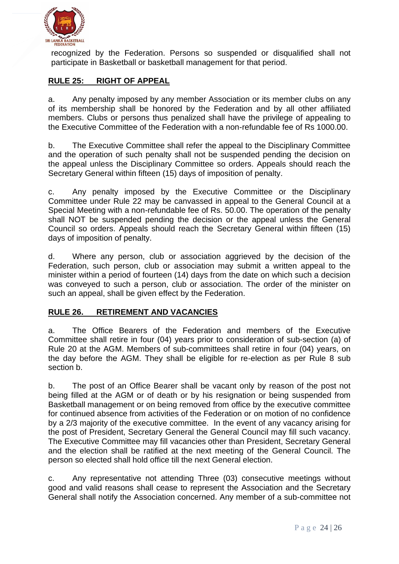

recognized by the Federation. Persons so suspended or disqualified shall not participate in Basketball or basketball management for that period.

# **RULE 25: RIGHT OF APPEAL**

a. Any penalty imposed by any member Association or its member clubs on any of its membership shall be honored by the Federation and by all other affiliated members. Clubs or persons thus penalized shall have the privilege of appealing to the Executive Committee of the Federation with a non-refundable fee of Rs 1000.00.

b. The Executive Committee shall refer the appeal to the Disciplinary Committee and the operation of such penalty shall not be suspended pending the decision on the appeal unless the Disciplinary Committee so orders. Appeals should reach the Secretary General within fifteen (15) days of imposition of penalty.

c. Any penalty imposed by the Executive Committee or the Disciplinary Committee under Rule 22 may be canvassed in appeal to the General Council at a Special Meeting with a non-refundable fee of Rs. 50.00. The operation of the penalty shall NOT be suspended pending the decision or the appeal unless the General Council so orders. Appeals should reach the Secretary General within fifteen (15) days of imposition of penalty.

d. Where any person, club or association aggrieved by the decision of the Federation, such person, club or association may submit a written appeal to the minister within a period of fourteen (14) days from the date on which such a decision was conveyed to such a person, club or association. The order of the minister on such an appeal, shall be given effect by the Federation.

#### **RULE 26. RETIREMENT AND VACANCIES**

a. The Office Bearers of the Federation and members of the Executive Committee shall retire in four (04) years prior to consideration of sub-section (a) of Rule 20 at the AGM. Members of sub-committees shall retire in four (04) years, on the day before the AGM. They shall be eligible for re-election as per Rule 8 sub section b.

b. The post of an Office Bearer shall be vacant only by reason of the post not being filled at the AGM or of death or by his resignation or being suspended from Basketball management or on being removed from office by the executive committee for continued absence from activities of the Federation or on motion of no confidence by a 2/3 majority of the executive committee. In the event of any vacancy arising for the post of President, Secretary General the General Council may fill such vacancy. The Executive Committee may fill vacancies other than President, Secretary General and the election shall be ratified at the next meeting of the General Council. The person so elected shall hold office till the next General election.

c. Any representative not attending Three (03) consecutive meetings without good and valid reasons shall cease to represent the Association and the Secretary General shall notify the Association concerned. Any member of a sub-committee not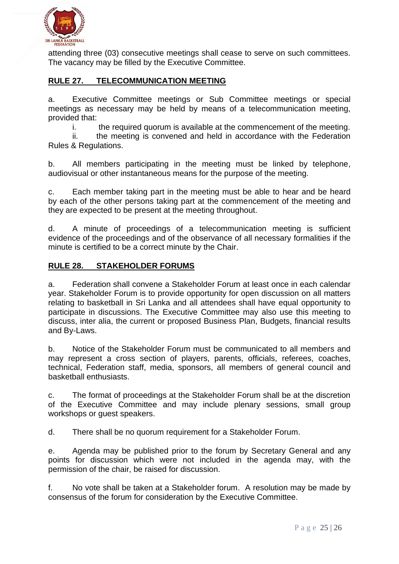

attending three (03) consecutive meetings shall cease to serve on such committees. The vacancy may be filled by the Executive Committee.

# **RULE 27. TELECOMMUNICATION MEETING**

a. Executive Committee meetings or Sub Committee meetings or special meetings as necessary may be held by means of a telecommunication meeting, provided that:

i. the required quorum is available at the commencement of the meeting.

ii. the meeting is convened and held in accordance with the Federation Rules & Regulations.

b. All members participating in the meeting must be linked by telephone, audiovisual or other instantaneous means for the purpose of the meeting.

c. Each member taking part in the meeting must be able to hear and be heard by each of the other persons taking part at the commencement of the meeting and they are expected to be present at the meeting throughout.

d. A minute of proceedings of a telecommunication meeting is sufficient evidence of the proceedings and of the observance of all necessary formalities if the minute is certified to be a correct minute by the Chair.

#### **RULE 28. STAKEHOLDER FORUMS**

a. Federation shall convene a Stakeholder Forum at least once in each calendar year. Stakeholder Forum is to provide opportunity for open discussion on all matters relating to basketball in Sri Lanka and all attendees shall have equal opportunity to participate in discussions. The Executive Committee may also use this meeting to discuss, inter alia, the current or proposed Business Plan, Budgets, financial results and By-Laws.

b. Notice of the Stakeholder Forum must be communicated to all members and may represent a cross section of players, parents, officials, referees, coaches, technical, Federation staff, media, sponsors, all members of general council and basketball enthusiasts.

c. The format of proceedings at the Stakeholder Forum shall be at the discretion of the Executive Committee and may include plenary sessions, small group workshops or guest speakers.

d. There shall be no quorum requirement for a Stakeholder Forum.

e. Agenda may be published prior to the forum by Secretary General and any points for discussion which were not included in the agenda may, with the permission of the chair, be raised for discussion.

f. No vote shall be taken at a Stakeholder forum. A resolution may be made by consensus of the forum for consideration by the Executive Committee.